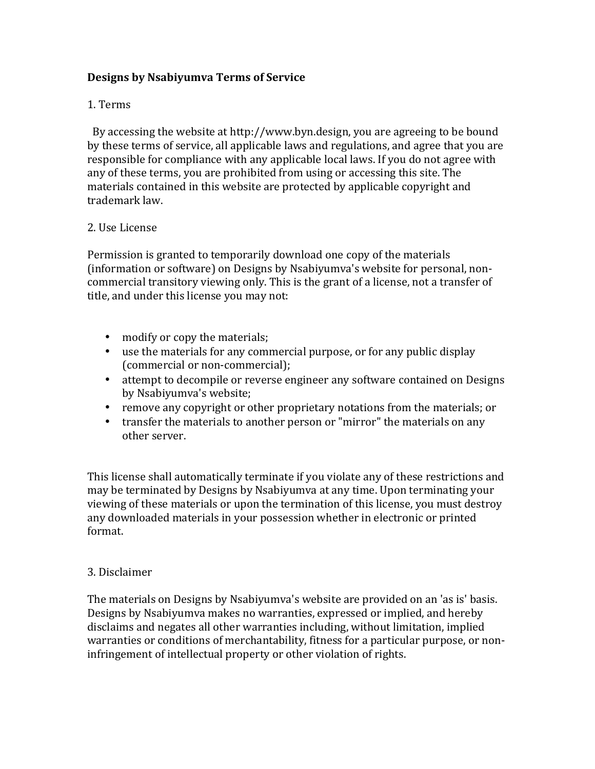# **Designs by Nsabiyumva Terms of Service**

## 1. Terms

By accessing the website at http://www.byn.design, you are agreeing to be bound by these terms of service, all applicable laws and regulations, and agree that you are responsible for compliance with any applicable local laws. If you do not agree with any of these terms, you are prohibited from using or accessing this site. The materials contained in this website are protected by applicable copyright and trademark law.

#### 2. Use License

Permission is granted to temporarily download one copy of the materials (information or software) on Designs by Nsabiyumva's website for personal, noncommercial transitory viewing only. This is the grant of a license, not a transfer of title, and under this license you may not:

- modify or copy the materials;
- use the materials for any commercial purpose, or for any public display (commercial or non-commercial);
- attempt to decompile or reverse engineer any software contained on Designs by Nsabiyumva's website;
- remove any copyright or other proprietary notations from the materials; or
- transfer the materials to another person or "mirror" the materials on any other server.

This license shall automatically terminate if you violate any of these restrictions and may be terminated by Designs by Nsabiyumva at any time. Upon terminating your viewing of these materials or upon the termination of this license, you must destroy any downloaded materials in your possession whether in electronic or printed format.

#### 3. Disclaimer

The materials on Designs by Nsabiyumva's website are provided on an 'as is' basis. Designs by Nsabiyumva makes no warranties, expressed or implied, and hereby disclaims and negates all other warranties including, without limitation, implied warranties or conditions of merchantability, fitness for a particular purpose, or noninfringement of intellectual property or other violation of rights.